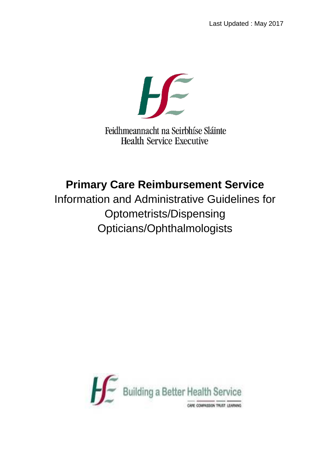$H$ 

Feidhmeannacht na Seirbhíse Sláinte **Health Service Executive** 

# **Primary Care Reimbursement Service**

Information and Administrative Guidelines for Optometrists/Dispensing Opticians/Ophthalmologists

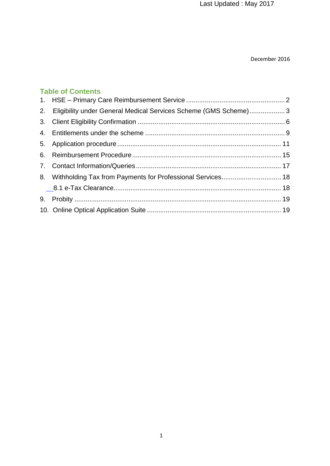Last Updated : May 2017

#### December 2016

# **Table of Contents**

| 2. Eligibility under General Medical Services Scheme (GMS Scheme) 3 |  |
|---------------------------------------------------------------------|--|
|                                                                     |  |
|                                                                     |  |
|                                                                     |  |
|                                                                     |  |
|                                                                     |  |
| 8. Withholding Tax from Payments for Professional Services 18       |  |
|                                                                     |  |
|                                                                     |  |
|                                                                     |  |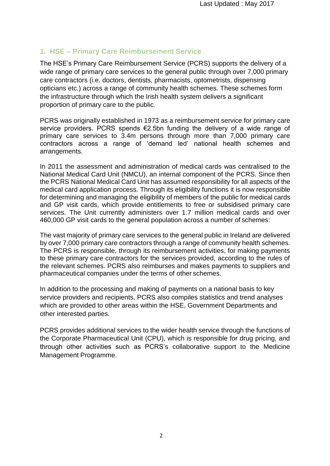# <span id="page-2-0"></span>**1. HSE – Primary Care Reimbursement Service**

The HSE's Primary Care Reimbursement Service (PCRS) supports the delivery of a wide range of primary care services to the general public through over 7,000 primary care contractors (i.e. doctors, dentists, pharmacists, optometrists, dispensing opticians etc.) across a range of community health schemes. These schemes form the infrastructure through which the Irish health system delivers a significant proportion of primary care to the public.

PCRS was originally established in 1973 as a reimbursement service for primary care service providers. PCRS spends €2.5bn funding the delivery of a wide range of primary care services to 3.4m persons through more than 7,000 primary care contractors across a range of 'demand led' national health schemes and arrangements.

In 2011 the assessment and administration of medical cards was centralised to the National Medical Card Unit (NMCU), an internal component of the PCRS. Since then the PCRS National Medical Card Unit has assumed responsibility for all aspects of the medical card application process. Through its eligibility functions it is now responsible for determining and managing the eligibility of members of the public for medical cards and GP visit cards, which provide entitlements to free or subsidised primary care services. The Unit currently administers over 1.7 million medical cards and over 460,000 GP visit cards to the general population across a number of schemes:

The vast majority of primary care services to the general public in Ireland are delivered by over 7,000 primary care contractors through a range of community health schemes. The PCRS is responsible, through its reimbursement activities, for making payments to these primary care contractors for the services provided, according to the rules of the relevant schemes. PCRS also reimburses and makes payments to suppliers and pharmaceutical companies under the terms of other schemes.

In addition to the processing and making of payments on a national basis to key service providers and recipients, PCRS also compiles statistics and trend analyses which are provided to other areas within the HSE, Government Departments and other interested parties.

PCRS provides additional services to the wider health service through the functions of the Corporate Pharmaceutical Unit (CPU), which is responsible for drug pricing, and through other activities such as PCRS's collaborative support to the Medicine Management Programme.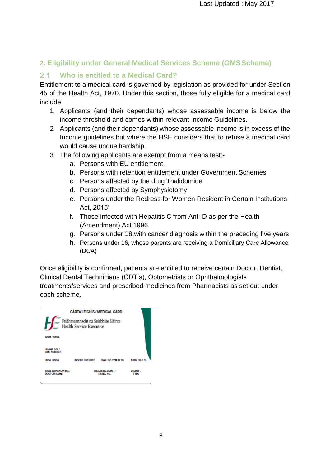# <span id="page-3-0"></span>**2. Eligibility under General Medical Services Scheme (GMSScheme)**

#### **Who is entitled to a Medical Card?**  $2.1$

Entitlement to a medical card is governed by legislation as provided for under Section 45 of the Health Act, 1970. Under this section, those fully eligible for a medical card include.

- 1. Applicants (and their dependants) whose assessable income is below the income threshold and comes within relevant Income Guidelines.
- 2. Applicants (and their dependants) whose assessable income is in excess of the Income guidelines but where the HSE considers that to refuse a medical card would cause undue hardship.
- 3. The following applicants are exempt from a means test:
	- a. Persons with EU entitlement.
	- b. Persons with retention entitlement under Government Schemes
	- c. Persons affected by the drug Thalidomide
	- d. Persons affected by Symphysiotomy
	- e. Persons under the Redress for Women Resident in Certain Institutions Act, 2015'
	- f. Those infected with Hepatitis C from Anti-D as per the Health (Amendment) Act 1996.
	- g. Persons under 18,with cancer diagnosis within the preceding five years
	- h. Persons under 16, whose parents are receiving a Domiciliary Care Allowance (DCA)

Once eligibility is confirmed, patients are entitled to receive certain Doctor, Dentist, Clinical Dental Technicians (CDT's), Optometrists or Ophthalmologists treatments/services and prescribed medicines from Pharmacists as set out under each scheme.

| ı                                         | <b>CÁRTA LEIGHIS / MEDICAL CARD</b>                                    |                                             |                     |
|-------------------------------------------|------------------------------------------------------------------------|---------------------------------------------|---------------------|
|                                           | Feidhmeannacht na Seirbhíse Sláinte<br><b>Health Service Executive</b> |                                             |                     |
| <b>AINM / NAME</b>                        |                                                                        |                                             |                     |
| <b>UNGHRSGL/</b><br><b>GMS NUMBER</b>     |                                                                        |                                             |                     |
| <b>UPSP/PPSN</b>                          | <b>INSCNE/GENDER</b>                                                   | BAIL GO / VALID TO                          | <b>D.BR./D.O.B.</b> |
| <b>AINM AN DOCHTLIRA /</b><br>DOCTOR NAME |                                                                        | <b>UIMHIR DHAINEIL/</b><br><b>DANEL NO.</b> |                     |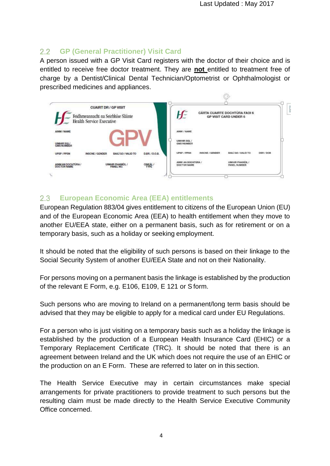$\bigcirc$ 

#### $2.2$ **GP (General Practitioner) Visit Card**

A person issued with a GP Visit Card registers with the doctor of their choice and is entitled to receive free doctor treatment. They are **not** entitled to treatment free of charge by a Dentist/Clinical Dental Technician/Optometrist or Ophthalmologist or prescribed medicines and appliances.

|                                   | <b>CUAIRT DR / GP VISIT</b><br>Feidhmeannacht na Seirbhíse Sláinte<br>Health Service Executive |                 |                                   | <b>CARTA CUAIRTE DOCHTURA FAOI 6</b><br><b>GP VISIT CARD UNDER 6</b> |  |
|-----------------------------------|------------------------------------------------------------------------------------------------|-----------------|-----------------------------------|----------------------------------------------------------------------|--|
| AINM / NAME                       |                                                                                                |                 | AINM / NAME                       |                                                                      |  |
| UIMHIR SGL/<br>GMS NUMBER         |                                                                                                |                 | UIMHIR SQL/<br><b>GMS NUMBER</b>  |                                                                      |  |
| <b>UPSP/PPSN</b>                  | <b>BAILI GO / VALID TO</b><br><b>INSCNE/GENDER</b>                                             | D.BR. / D.O.B.  | UPSP / PPSN<br>INSCNE / GENDER    | BAILÍ GO / VALID TO<br><b>DBR/DOB</b>                                |  |
| AINM AN DOCHTÚRA /<br>DOCTOR NAME | <b>UIMHIR PHAINÉIL /</b><br>PANEL NO.                                                          | CINEAL /<br>895 | AINM AN DOCHTURA /<br>DOCTOR NAME | UIMHIR PHAINEIL/<br><b>PANEL NUMBER</b>                              |  |

#### $2.3$ **European Economic Area (EEA) entitlements**

European Regulation 883/04 gives entitlement to citizens of the European Union (EU) and of the European Economic Area (EEA) to health entitlement when they move to another EU/EEA state, either on a permanent basis, such as for retirement or on a temporary basis, such as a holiday or seeking employment.

It should be noted that the eligibility of such persons is based on their linkage to the Social Security System of another EU/EEA State and not on their Nationality.

For persons moving on a permanent basis the linkage is established by the production of the relevant E Form, e.g. E106, E109, E 121 or S form.

Such persons who are moving to Ireland on a permanent/long term basis should be advised that they may be eligible to apply for a medical card under EU Regulations.

For a person who is just visiting on a temporary basis such as a holiday the linkage is established by the production of a European Health Insurance Card (EHIC) or a Temporary Replacement Certificate (TRC). It should be noted that there is an agreement between Ireland and the UK which does not require the use of an EHIC or the production on an E Form. These are referred to later on in this section.

The Health Service Executive may in certain circumstances make special arrangements for private practitioners to provide treatment to such persons but the resulting claim must be made directly to the Health Service Executive Community Office concerned.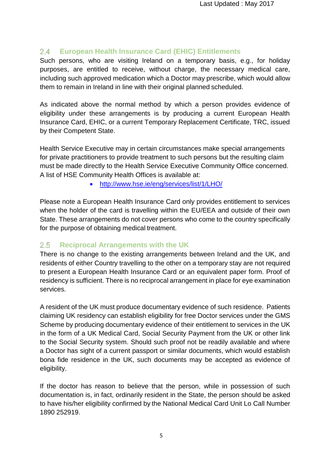#### $2.4$ **European Health Insurance Card (EHIC) Entitlements**

Such persons, who are visiting Ireland on a temporary basis, e.g., for holiday purposes, are entitled to receive, without charge, the necessary medical care, including such approved medication which a Doctor may prescribe, which would allow them to remain in Ireland in line with their original planned scheduled.

As indicated above the normal method by which a person provides evidence of eligibility under these arrangements is by producing a current European Health Insurance Card, EHIC, or a current Temporary Replacement Certificate, TRC, issued by their Competent State.

Health Service Executive may in certain circumstances make special arrangements for private practitioners to provide treatment to such persons but the resulting claim must be made directly to the Health Service Executive Community Office concerned. A list of HSE Community Health Offices is available at:

<http://www.hse.ie/eng/services/list/1/LHO/>

Please note a European Health Insurance Card only provides entitlement to services when the holder of the card is travelling within the EU/EEA and outside of their own State. These arrangements do not cover persons who come to the country specifically for the purpose of obtaining medical treatment.

#### $2.5$ **Reciprocal Arrangements with the UK**

There is no change to the existing arrangements between Ireland and the UK, and residents of either Country travelling to the other on a temporary stay are not required to present a European Health Insurance Card or an equivalent paper form. Proof of residency is sufficient. There is no reciprocal arrangement in place for eye examination services.

A resident of the UK must produce documentary evidence of such residence. Patients claiming UK residency can establish eligibility for free Doctor services under the GMS Scheme by producing documentary evidence of their entitlement to services in the UK in the form of a UK Medical Card, Social Security Payment from the UK or other link to the Social Security system. Should such proof not be readily available and where a Doctor has sight of a current passport or similar documents, which would establish bona fide residence in the UK, such documents may be accepted as evidence of eligibility.

If the doctor has reason to believe that the person, while in possession of such documentation is, in fact, ordinarily resident in the State, the person should be asked to have his/her eligibility confirmed by the National Medical Card Unit Lo Call Number 1890 252919.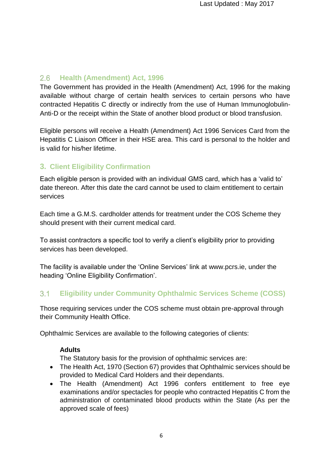# **Health (Amendment) Act, 1996**

The Government has provided in the Health (Amendment) Act, 1996 for the making available without charge of certain health services to certain persons who have contracted Hepatitis C directly or indirectly from the use of Human Immunoglobulin-Anti-D or the receipt within the State of another blood product or blood transfusion.

Eligible persons will receive a Health (Amendment) Act 1996 Services Card from the Hepatitis C Liaison Officer in their HSE area. This card is personal to the holder and is valid for his/her lifetime.

# <span id="page-6-0"></span>**3. Client Eligibility Confirmation**

Each eligible person is provided with an individual GMS card, which has a 'valid to' date thereon. After this date the card cannot be used to claim entitlement to certain services

Each time a G.M.S. cardholder attends for treatment under the COS Scheme they should present with their current medical card.

To assist contractors a specific tool to verify a client's eligibility prior to providing services has been developed.

The facility is available under the 'Online Services' link at [www.pcrs.ie,](http://www.pcrs.ie/) under the heading 'Online Eligibility Confirmation'.

#### $3.1$ **Eligibility under Community Ophthalmic Services Scheme (COSS)**

Those requiring services under the COS scheme must obtain pre-approval through their Community Health Office.

Ophthalmic Services are available to the following categories of clients:

# **Adults**

The Statutory basis for the provision of ophthalmic services are:

- The Health Act, 1970 (Section 67) provides that Ophthalmic services should be provided to Medical Card Holders and their dependants.
- The Health (Amendment) Act 1996 confers entitlement to free eye examinations and/or spectacles for people who contracted Hepatitis C from the administration of contaminated blood products within the State (As per the approved scale of fees)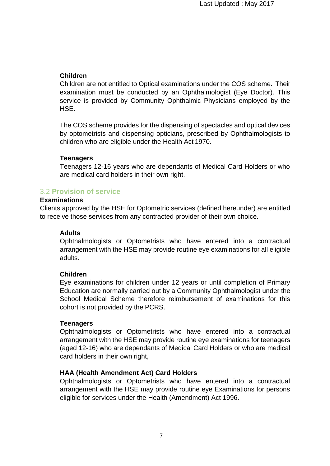#### **Children**

Children are not entitled to Optical examinations under the COS scheme**.** Their examination must be conducted by an Ophthalmologist (Eye Doctor). This service is provided by Community Ophthalmic Physicians employed by the HSE.

The COS scheme provides for the dispensing of spectacles and optical devices by optometrists and dispensing opticians, prescribed by Ophthalmologists to children who are eligible under the Health Act 1970.

#### **Teenagers**

Teenagers 12-16 years who are dependants of Medical Card Holders or who are medical card holders in their own right.

# 3.2 **Provision of service**

#### **Examinations**

Clients approved by the HSE for Optometric services (defined hereunder) are entitled to receive those services from any contracted provider of their own choice.

#### **Adults**

Ophthalmologists or Optometrists who have entered into a contractual arrangement with the HSE may provide routine eye examinations for all eligible adults.

#### **Children**

Eye examinations for children under 12 years or until completion of Primary Education are normally carried out by a Community Ophthalmologist under the School Medical Scheme therefore reimbursement of examinations for this cohort is not provided by the PCRS.

#### **Teenagers**

Ophthalmologists or Optometrists who have entered into a contractual arrangement with the HSE may provide routine eye examinations for teenagers (aged 12-16) who are dependants of Medical Card Holders or who are medical card holders in their own right,

#### **HAA (Health Amendment Act) Card Holders**

Ophthalmologists or Optometrists who have entered into a contractual arrangement with the HSE may provide routine eye Examinations for persons eligible for services under the Health (Amendment) Act 1996.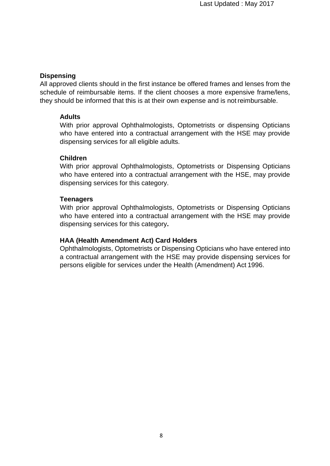#### **Dispensing**

All approved clients should in the first instance be offered frames and lenses from the schedule of reimbursable items. If the client chooses a more expensive frame/lens, they should be informed that this is at their own expense and is not reimbursable.

#### **Adults**

With prior approval Ophthalmologists, Optometrists or dispensing Opticians who have entered into a contractual arrangement with the HSE may provide dispensing services for all eligible adults.

### **Children**

With prior approval Ophthalmologists, Optometrists or Dispensing Opticians who have entered into a contractual arrangement with the HSE, may provide dispensing services for this category.

#### **Teenagers**

With prior approval Ophthalmologists, Optometrists or Dispensing Opticians who have entered into a contractual arrangement with the HSE may provide dispensing services for this category**.**

### **HAA (Health Amendment Act) Card Holders**

Ophthalmologists, Optometrists or Dispensing Opticians who have entered into a contractual arrangement with the HSE may provide dispensing services for persons eligible for services under the Health (Amendment) Act 1996.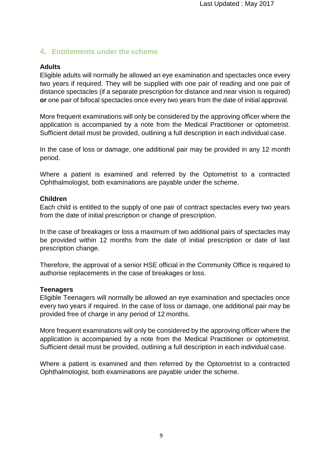# <span id="page-9-0"></span>**4. Entitlements under the scheme**

# **Adults**

Eligible adults will normally be allowed an eye examination and spectacles once every two years if required. They will be supplied with one pair of reading and one pair of distance spectacles (if a separate prescription for distance and near vision is required) **or** one pair of bifocal spectacles once every two years from the date of initial approval.

More frequent examinations will only be considered by the approving officer where the application is accompanied by a note from the Medical Practitioner or optometrist. Sufficient detail must be provided, outlining a full description in each individual case.

In the case of loss or damage, one additional pair may be provided in any 12 month period.

Where a patient is examined and referred by the Optometrist to a contracted Ophthalmologist, both examinations are payable under the scheme.

### **Children**

Each child is entitled to the supply of one pair of contract spectacles every two years from the date of initial prescription or change of prescription.

In the case of breakages or loss a maximum of two additional pairs of spectacles may be provided within 12 months from the date of initial prescription or date of last prescription change.

Therefore, the approval of a senior HSE official in the Community Office is required to authorise replacements in the case of breakages or loss.

### **Teenagers**

Eligible Teenagers will normally be allowed an eye examination and spectacles once every two years if required. In the case of loss or damage, one additional pair may be provided free of charge in any period of 12 months.

More frequent examinations will only be considered by the approving officer where the application is accompanied by a note from the Medical Practitioner or optometrist. Sufficient detail must be provided, outlining a full description in each individual case.

Where a patient is examined and then referred by the Optometrist to a contracted Ophthalmologist, both examinations are payable under the scheme.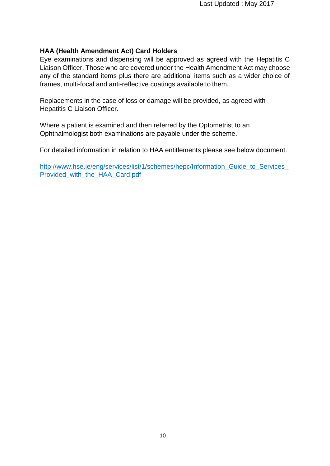### **HAA (Health Amendment Act) Card Holders**

Eye examinations and dispensing will be approved as agreed with the Hepatitis C Liaison Officer. Those who are covered under the Health Amendment Act may choose any of the standard items plus there are additional items such as a wider choice of frames, multi-focal and anti-reflective coatings available to them.

Replacements in the case of loss or damage will be provided, as agreed with Hepatitis C Liaison Officer.

Where a patient is examined and then referred by the Optometrist to an Ophthalmologist both examinations are payable under the scheme.

For detailed information in relation to HAA entitlements please see below document.

[http://www.hse.ie/eng/services/list/1/schemes/hepc/Information\\_Guide\\_to\\_Services\\_](http://www.hse.ie/eng/services/list/1/schemes/hepc/Information_Guide_to_Services_) Provided\_with\_the\_HAA\_Card.pdf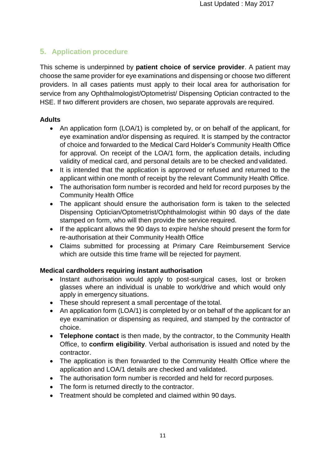# <span id="page-11-0"></span>**5. Application procedure**

This scheme is underpinned by **patient choice of service provider**. A patient may choose the same provider for eye examinations and dispensing or choose two different providers. In all cases patients must apply to their local area for authorisation for service from any Ophthalmologist/Optometrist/ Dispensing Optician contracted to the HSE. If two different providers are chosen, two separate approvals are required.

# **Adults**

- An application form (LOA/1) is completed by, or on behalf of the applicant, for eye examination and/or dispensing as required. It is stamped by the contractor of choice and forwarded to the Medical Card Holder's Community Health Office for approval. On receipt of the LOA/1 form, the application details, including validity of medical card, and personal details are to be checked and validated.
- It is intended that the application is approved or refused and returned to the applicant within one month of receipt by the relevant Community Health Office.
- The authorisation form number is recorded and held for record purposes by the Community Health Office
- The applicant should ensure the authorisation form is taken to the selected Dispensing Optician/Optometrist/Ophthalmologist within 90 days of the date stamped on form, who will then provide the service required.
- If the applicant allows the 90 days to expire he/she should present the form for re-authorisation at their Community Health Office
- Claims submitted for processing at Primary Care Reimbursement Service which are outside this time frame will be rejected for payment.

# **Medical cardholders requiring instant authorisation**

- Instant authorisation would apply to post-surgical cases, lost or broken glasses where an individual is unable to work/drive and which would only apply in emergency situations.
- These should represent a small percentage of the total.
- An application form (LOA/1) is completed by or on behalf of the applicant for an eye examination or dispensing as required, and stamped by the contractor of choice.
- **Telephone contact** is then made, by the contractor, to the Community Health Office, to **confirm eligibility**. Verbal authorisation is issued and noted by the contractor.
- The application is then forwarded to the Community Health Office where the application and LOA/1 details are checked and validated.
- The authorisation form number is recorded and held for record purposes.
- The form is returned directly to the contractor.
- Treatment should be completed and claimed within 90 days.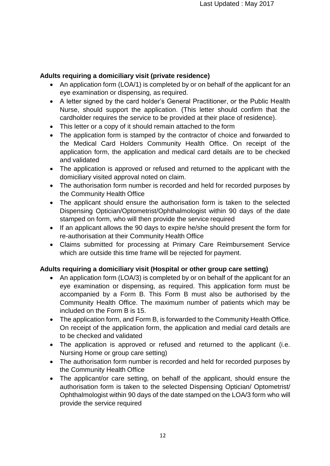# **Adults requiring a domiciliary visit (private residence)**

- An application form (LOA/1) is completed by or on behalf of the applicant for an eye examination or dispensing, as required.
- A letter signed by the card holder's General Practitioner, or the Public Health Nurse, should support the application. (This letter should confirm that the cardholder requires the service to be provided at their place of residence).
- This letter or a copy of it should remain attached to the form
- The application form is stamped by the contractor of choice and forwarded to the Medical Card Holders Community Health Office. On receipt of the application form, the application and medical card details are to be checked and validated
- The application is approved or refused and returned to the applicant with the domiciliary visited approval noted on claim.
- The authorisation form number is recorded and held for recorded purposes by the Community Health Office
- The applicant should ensure the authorisation form is taken to the selected Dispensing Optician/Optometrist/Ophthalmologist within 90 days of the date stamped on form, who will then provide the service required
- If an applicant allows the 90 days to expire he/she should present the form for re-authorisation at their Community Health Office
- Claims submitted for processing at Primary Care Reimbursement Service which are outside this time frame will be rejected for payment.

# **Adults requiring a domiciliary visit (Hospital or other group care setting)**

- An application form (LOA/3) is completed by or on behalf of the applicant for an eye examination or dispensing, as required. This application form must be accompanied by a Form B. This Form B must also be authorised by the Community Health Office. The maximum number of patients which may be included on the Form B is 15.
- The application form, and Form B, is forwarded to the Community Health Office. On receipt of the application form, the application and medial card details are to be checked and validated
- The application is approved or refused and returned to the applicant (i.e. Nursing Home or group care setting)
- The authorisation form number is recorded and held for recorded purposes by the Community Health Office
- The applicant/or care setting, on behalf of the applicant, should ensure the authorisation form is taken to the selected Dispensing Optician/ Optometrist/ Ophthalmologist within 90 days of the date stamped on the LOA/3 form who will provide the service required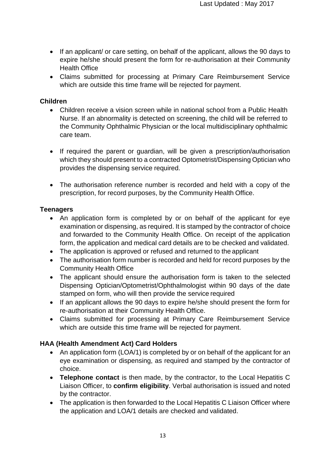- If an applicant/ or care setting, on behalf of the applicant, allows the 90 days to expire he/she should present the form for re-authorisation at their Community Health Office
- Claims submitted for processing at Primary Care Reimbursement Service which are outside this time frame will be rejected for payment.

# **Children**

- Children receive a vision screen while in national school from a Public Health Nurse. If an abnormality is detected on screening, the child will be referred to the Community Ophthalmic Physician or the local multidisciplinary ophthalmic care team.
- If required the parent or guardian, will be given a prescription/authorisation which they should present to a contracted Optometrist/Dispensing Optician who provides the dispensing service required.
- The authorisation reference number is recorded and held with a copy of the prescription, for record purposes, by the Community Health Office.

# **Teenagers**

- An application form is completed by or on behalf of the applicant for eye examination or dispensing, as required. It is stamped by the contractor of choice and forwarded to the Community Health Office. On receipt of the application form, the application and medical card details are to be checked and validated.
- The application is approved or refused and returned to the applicant
- The authorisation form number is recorded and held for record purposes by the Community Health Office
- The applicant should ensure the authorisation form is taken to the selected Dispensing Optician/Optometrist/Ophthalmologist within 90 days of the date stamped on form, who will then provide the service required
- If an applicant allows the 90 days to expire he/she should present the form for re-authorisation at their Community Health Office.
- Claims submitted for processing at Primary Care Reimbursement Service which are outside this time frame will be rejected for payment.

# **HAA (Health Amendment Act) Card Holders**

- An application form (LOA/1) is completed by or on behalf of the applicant for an eye examination or dispensing, as required and stamped by the contractor of choice.
- **Telephone contact** is then made, by the contractor, to the Local Hepatitis C Liaison Officer, to **confirm eligibility**. Verbal authorisation is issued and noted by the contractor.
- The application is then forwarded to the Local Hepatitis C Liaison Officer where the application and LOA/1 details are checked and validated.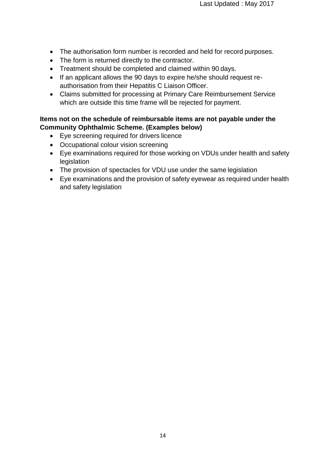- The authorisation form number is recorded and held for record purposes.
- The form is returned directly to the contractor.
- Treatment should be completed and claimed within 90 days.
- If an applicant allows the 90 days to expire he/she should request reauthorisation from their Hepatitis C Liaison Officer.
- Claims submitted for processing at Primary Care Reimbursement Service which are outside this time frame will be rejected for payment.

# **Items not on the schedule of reimbursable items are not payable under the Community Ophthalmic Scheme. (Examples below)**

- Eye screening required for drivers licence
- Occupational colour vision screening
- Eye examinations required for those working on VDUs under health and safety legislation
- The provision of spectacles for VDU use under the same legislation
- Eye examinations and the provision of safety eyewear as required under health and safety legislation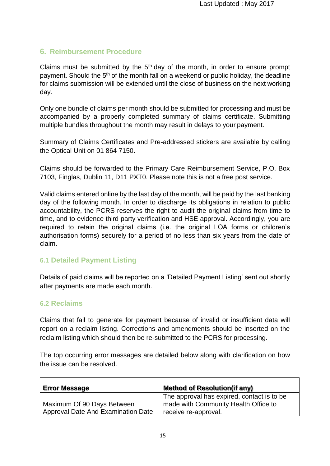# <span id="page-15-0"></span>**6. Reimbursement Procedure**

Claims must be submitted by the  $5<sup>th</sup>$  day of the month, in order to ensure prompt payment. Should the 5<sup>th</sup> of the month fall on a weekend or public holiday, the deadline for claims submission will be extended until the close of business on the next working day.

Only one bundle of claims per month should be submitted for processing and must be accompanied by a properly completed summary of claims certificate. Submitting multiple bundles throughout the month may result in delays to your payment.

Summary of Claims Certificates and Pre-addressed stickers are available by calling the Optical Unit on 01 864 7150.

Claims should be forwarded to the Primary Care Reimbursement Service, P.O. Box 7103, Finglas, Dublin 11, D11 PXT0. Please note this is not a free post service.

Valid claims entered online by the last day of the month, will be paid by the last banking day of the following month. In order to discharge its obligations in relation to public accountability, the PCRS reserves the right to audit the original claims from time to time, and to evidence third party verification and HSE approval. Accordingly, you are required to retain the original claims (i.e. the original LOA forms or children's authorisation forms) securely for a period of no less than six years from the date of claim.

# **6.1 Detailed Payment Listing**

Details of paid claims will be reported on a 'Detailed Payment Listing' sent out shortly after payments are made each month.

### **6.2 Reclaims**

Claims that fail to generate for payment because of invalid or insufficient data will report on a reclaim listing. Corrections and amendments should be inserted on the reclaim listing which should then be re-submitted to the PCRS for processing.

The top occurring error messages are detailed below along with clarification on how the issue can be resolved.

| <b>Error Message</b>               | <b>Method of Resolution(if any)</b>                                                |
|------------------------------------|------------------------------------------------------------------------------------|
| Maximum Of 90 Days Between         | The approval has expired, contact is to be<br>made with Community Health Office to |
| Approval Date And Examination Date | receive re-approval.                                                               |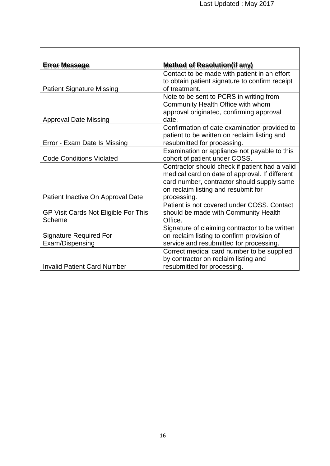| <b>Error Message</b>                 | <b>Method of Resolution(if any)</b>            |
|--------------------------------------|------------------------------------------------|
|                                      | Contact to be made with patient in an effort   |
|                                      | to obtain patient signature to confirm receipt |
| <b>Patient Signature Missing</b>     | of treatment.                                  |
|                                      | Note to be sent to PCRS in writing from        |
|                                      | Community Health Office with whom              |
|                                      | approval originated, confirming approval       |
| <b>Approval Date Missing</b>         | date.                                          |
|                                      | Confirmation of date examination provided to   |
|                                      | patient to be written on reclaim listing and   |
| Error - Exam Date Is Missing         | resubmitted for processing.                    |
|                                      | Examination or appliance not payable to this   |
| <b>Code Conditions Violated</b>      | cohort of patient under COSS.                  |
|                                      | Contractor should check if patient had a valid |
|                                      | medical card on date of approval. If different |
|                                      | card number, contractor should supply same     |
|                                      | on reclaim listing and resubmit for            |
| Patient Inactive On Approval Date    | processing.                                    |
|                                      | Patient is not covered under COSS. Contact     |
| GP Visit Cards Not Eligible For This | should be made with Community Health           |
| Scheme                               | Office.                                        |
|                                      | Signature of claiming contractor to be written |
| <b>Signature Required For</b>        | on reclaim listing to confirm provision of     |
| Exam/Dispensing                      | service and resubmitted for processing.        |
|                                      | Correct medical card number to be supplied     |
|                                      | by contractor on reclaim listing and           |
| <b>Invalid Patient Card Number</b>   | resubmitted for processing.                    |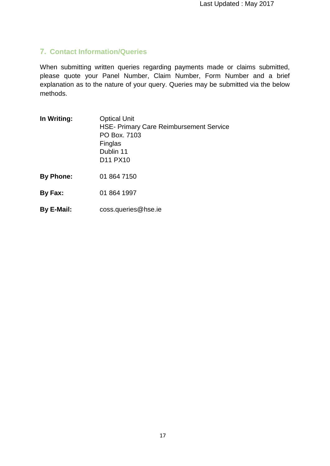# <span id="page-17-0"></span>**7. Contact Information/Queries**

When submitting written queries regarding payments made or claims submitted, please quote your Panel Number, Claim Number, Form Number and a brief explanation as to the nature of your query. Queries may be submitted via the below methods.

| <b>Optical Unit</b><br><b>HSE- Primary Care Reimbursement Service</b><br>PO Box. 7103<br>Finglas<br>Dublin 11<br>D <sub>11</sub> P <sub>X10</sub> |
|---------------------------------------------------------------------------------------------------------------------------------------------------|
| 01 864 7150                                                                                                                                       |
| 01 864 1997                                                                                                                                       |
|                                                                                                                                                   |

**By E-Mail:** [coss.queries@hse.ie](mailto:coss.queries@hse.ie)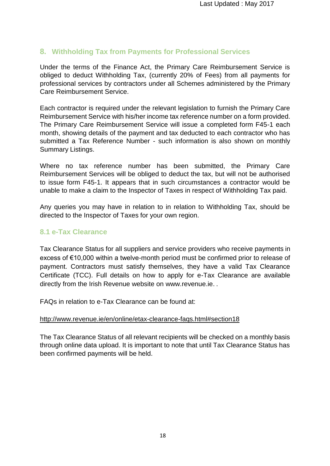# <span id="page-18-0"></span>**8. Withholding Tax from Payments for Professional Services**

Under the terms of the Finance Act, the Primary Care Reimbursement Service is obliged to deduct Withholding Tax, (currently 20% of Fees) from all payments for professional services by contractors under all Schemes administered by the Primary Care Reimbursement Service.

Each contractor is required under the relevant legislation to furnish the Primary Care Reimbursement Service with his/her income tax reference number on a form provided. The Primary Care Reimbursement Service will issue a completed form F45-1 each month, showing details of the payment and tax deducted to each contractor who has submitted a Tax Reference Number - such information is also shown on monthly Summary Listings.

Where no tax reference number has been submitted, the Primary Care Reimbursement Services will be obliged to deduct the tax, but will not be authorised to issue form F45-1. It appears that in such circumstances a contractor would be unable to make a claim to the Inspector of Taxes in respect of Withholding Tax paid.

Any queries you may have in relation to in relation to Withholding Tax, should be directed to the Inspector of Taxes for your own region.

# <span id="page-18-1"></span>**8.1 e-Tax Clearance**

Tax Clearance Status for all suppliers and service providers who receive payments in excess of €10,000 within a twelve-month period must be confirmed prior to release of payment. Contractors must satisfy themselves, they have a valid Tax Clearance Certificate (TCC). Full details on how to apply for e-Tax Clearance are available directly from the Irish Revenue website on [www.revenue.ie.](http://www.revenue.ie/) .

FAQs in relation to e-Tax Clearance can be found at:

### <http://www.revenue.ie/en/online/etax-clearance-faqs.html#section18>

The Tax Clearance Status of all relevant recipients will be checked on a monthly basis through online data upload. It is important to note that until Tax Clearance Status has been confirmed payments will be held.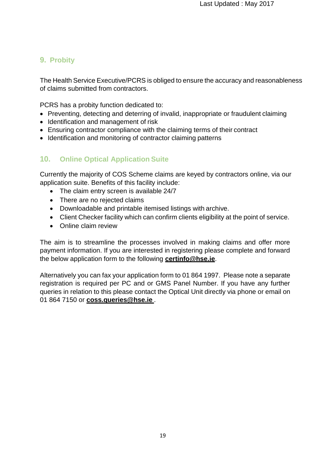# <span id="page-19-0"></span>**9. Probity**

The Health Service Executive/PCRS is obliged to ensure the accuracy and reasonableness of claims submitted from contractors.

PCRS has a probity function dedicated to:

- Preventing, detecting and deterring of invalid, inappropriate or fraudulent claiming
- Identification and management of risk
- Ensuring contractor compliance with the claiming terms of their contract
- Identification and monitoring of contractor claiming patterns

# <span id="page-19-1"></span>**10. Online Optical Application Suite**

Currently the majority of COS Scheme claims are keyed by contractors online, via our application suite. Benefits of this facility include:

- The claim entry screen is available 24/7
- There are no rejected claims
- Downloadable and printable itemised listings with archive.
- Client Checker facility which can confirm clients eligibility at the point of service.
- Online claim review

The aim is to streamline the processes involved in making claims and offer more payment information. If you are interested in registering please complete and forward the below application form to the following **[certinfo@hse.ie](mailto:certinfo@hse.ie)**.

Alternatively you can fax your application form to 01 864 1997. Please note a separate registration is required per PC and or GMS Panel Number. If you have any further queries in relation to this please contact the Optical Unit directly via phone or email on 01 864 7150 or **[coss.queries@hse.ie](mailto:coss.queries@hse.ie)** .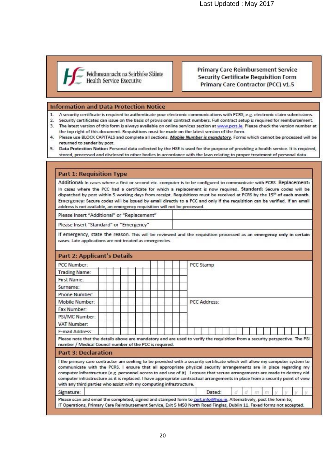Last Updated : May 2017



**Primary Care Reimbursement Service Security Certificate Requisition Form** Primary Care Contractor (PCC) v1.5

#### **Information and Data Protection Notice**

- 1. A security certificate is required to authenticate your electronic communications with PCRS, e.g. electronic claim submissions.
- 2. Security certificates can issue on the basis of provisional contract numbers. Full contract setup is required for reimbursement. 3. The latest version of this form is always available on online services section at www.pcrs.ie. Please check the version number at
- the top right of this document. Requisitions must be made on the latest version of the form.
- 4. Please use BLOCK CAPITALS and complete all sections. Mobile Number is mandatory. Forms which cannot be processed will be returned to sender by post.
- 5. Data Protection Notice: Personal data collected by the HSE is used for the purpose of providing a health service. It is required, stored, processed and disclosed to other bodies in accordance with the laws relating to proper treatment of personal data.

#### **Part 1: Requisition Type**

Additional: In cases where a first or second etc. computer is to be configured to communicate with PCRS. Replacement: In cases where the PCC had a certificate for which a replacement is now required. Standard: Secure codes will be dispatched by post within 5 working days from receipt. Requisitions must be received at PCRS by the 15th of each month. Emergency: Secure codes will be issued by email directly to a PCC and only if the requisition can be verified. If an email address is not available, an emergency requisition will not be processed.

Please Insert "Additional" or "Replacement"

Please Insert "Standard" or "Emergency"

If emergency, state the reason. This will be reviewed and the requisition processed as an emergency only in certain cases. Late applications are not treated as emergencies.

| <b>Part 2: Applicant's Details</b>                                                                                                                                                                                                                                                                                                                                                                                                                                                                                                                                                     |  |  |  |  |              |        |  |  |  |  |  |  |
|----------------------------------------------------------------------------------------------------------------------------------------------------------------------------------------------------------------------------------------------------------------------------------------------------------------------------------------------------------------------------------------------------------------------------------------------------------------------------------------------------------------------------------------------------------------------------------------|--|--|--|--|--------------|--------|--|--|--|--|--|--|
| PCC Number:                                                                                                                                                                                                                                                                                                                                                                                                                                                                                                                                                                            |  |  |  |  | PCC Stamp    |        |  |  |  |  |  |  |
| Trading Name:                                                                                                                                                                                                                                                                                                                                                                                                                                                                                                                                                                          |  |  |  |  |              |        |  |  |  |  |  |  |
| First Name:                                                                                                                                                                                                                                                                                                                                                                                                                                                                                                                                                                            |  |  |  |  |              |        |  |  |  |  |  |  |
| Surname:                                                                                                                                                                                                                                                                                                                                                                                                                                                                                                                                                                               |  |  |  |  |              |        |  |  |  |  |  |  |
| Phone Number:                                                                                                                                                                                                                                                                                                                                                                                                                                                                                                                                                                          |  |  |  |  |              |        |  |  |  |  |  |  |
| Mobile Number:                                                                                                                                                                                                                                                                                                                                                                                                                                                                                                                                                                         |  |  |  |  | PCC Address: |        |  |  |  |  |  |  |
| Fax Number:                                                                                                                                                                                                                                                                                                                                                                                                                                                                                                                                                                            |  |  |  |  |              |        |  |  |  |  |  |  |
| PSI/MC Number:                                                                                                                                                                                                                                                                                                                                                                                                                                                                                                                                                                         |  |  |  |  |              |        |  |  |  |  |  |  |
| VAT Number:                                                                                                                                                                                                                                                                                                                                                                                                                                                                                                                                                                            |  |  |  |  |              |        |  |  |  |  |  |  |
| <b>F-mail Address:</b>                                                                                                                                                                                                                                                                                                                                                                                                                                                                                                                                                                 |  |  |  |  |              |        |  |  |  |  |  |  |
| Please note that the details above are mandatory and are used to verify the requisition from a security perspective. The PSI<br>number / Medical Council number of the PCC is required.                                                                                                                                                                                                                                                                                                                                                                                                |  |  |  |  |              |        |  |  |  |  |  |  |
| <b>Part 3: Declaration</b>                                                                                                                                                                                                                                                                                                                                                                                                                                                                                                                                                             |  |  |  |  |              |        |  |  |  |  |  |  |
| I the primary care contractor am seeking to be provided with a security certificate which will allow my computer system to<br>communicate with the PCRS. I ensure that all appropriate physical security arrangements are in place regarding my<br>computer infrastructure (e.g. personnel access to and use of it). I ensure that secure arrangements are made to destroy old<br>computer infrastructure as it is replaced. I have appropriate contractual arrangements in place from a security point of view<br>with any third parties who assist with my computing infrastructure. |  |  |  |  |              |        |  |  |  |  |  |  |
| Signature:                                                                                                                                                                                                                                                                                                                                                                                                                                                                                                                                                                             |  |  |  |  |              | Dated: |  |  |  |  |  |  |
| Please scan and email the completed, signed and stamped form to cert.info@hse.ie. Alternatively, post the form to;<br>IT Operations, Primary Care Reimbursement Service, Exit 5 M50 North Road Finglas, Dublin 11. Faxed forms not accepted.                                                                                                                                                                                                                                                                                                                                           |  |  |  |  |              |        |  |  |  |  |  |  |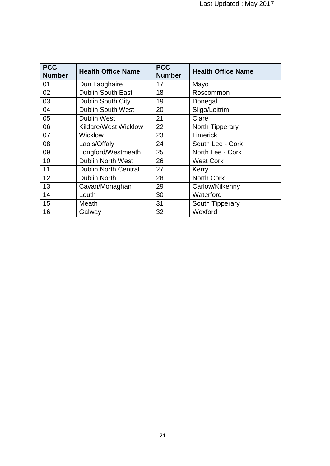| <b>PCC</b>    | <b>Health Office Name</b>   | <b>PCC</b>    | <b>Health Office Name</b> |  |  |  |  |  |
|---------------|-----------------------------|---------------|---------------------------|--|--|--|--|--|
| <b>Number</b> |                             | <b>Number</b> |                           |  |  |  |  |  |
| 01            | Dun Laoghaire               | 17            | Mayo                      |  |  |  |  |  |
| 02            | <b>Dublin South East</b>    | 18            | Roscommon                 |  |  |  |  |  |
| 03            | Dublin South City           | 19            | Donegal                   |  |  |  |  |  |
| 04            | <b>Dublin South West</b>    | 20            | Sligo/Leitrim             |  |  |  |  |  |
| 05            | <b>Dublin West</b>          | 21            | Clare                     |  |  |  |  |  |
| 06            | <b>Kildare/West Wicklow</b> | 22            | <b>North Tipperary</b>    |  |  |  |  |  |
| 07            | <b>Wicklow</b>              | 23            | Limerick                  |  |  |  |  |  |
| 08            | Laois/Offaly                | 24            | South Lee - Cork          |  |  |  |  |  |
| 09            | Longford/Westmeath          | 25            | North Lee - Cork          |  |  |  |  |  |
| 10            | <b>Dublin North West</b>    | 26            | <b>West Cork</b>          |  |  |  |  |  |
| 11            | <b>Dublin North Central</b> | 27            | Kerry                     |  |  |  |  |  |
| 12            | <b>Dublin North</b>         | 28            | <b>North Cork</b>         |  |  |  |  |  |
| 13            | Cavan/Monaghan              | 29            | Carlow/Kilkenny           |  |  |  |  |  |
| 14            | Louth                       | 30            | Waterford                 |  |  |  |  |  |
| 15            | Meath                       | 31            | South Tipperary           |  |  |  |  |  |
| 16            | Galway                      | 32            | Wexford                   |  |  |  |  |  |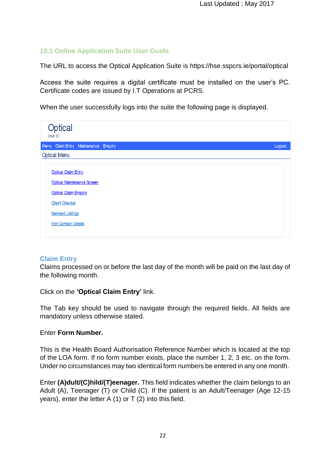# **10.1 Online Application Suite User Guide**

The URL to access the Optical Application Suite is https://hse.sspcrs.ie/portal/optical

Access the suite requires a digital certificate must be installed on the user's PC. Certificate codes are issued by I.T Operations at PCRS.

When the user successfully logs into the suite the following page is displayed.

| <b>Optical</b><br>User ID:                                                                                                                                                   |  |        |
|------------------------------------------------------------------------------------------------------------------------------------------------------------------------------|--|--------|
| Menu Claim Entry Maintenance Enquiry                                                                                                                                         |  | Logout |
| <b>Optical Menu</b>                                                                                                                                                          |  |        |
| <b>Optical Claim Entry</b><br>Optical Maintenance Screen<br><b>Optical Claim Enquiry</b><br><b>Client Checker</b><br><b>Itemised Listings</b><br><b>Edit Contact Details</b> |  |        |

# **Claim Entry**

Claims processed on or before the last day of the month will be paid on the last day of the following month.

Click on the **'Optical Claim Entry'** link.

The Tab key should be used to navigate through the required fields. All fields are mandatory unless otherwise stated.

### Enter **Form Number.**

This is the Health Board Authorisation Reference Number which is located at the top of the LOA form. If no form number exists, place the number 1, 2, 3 etc. on the form. Under no circumstances may two identical form numbers be entered in any one month.

Enter **(A)dult/(C)hild/(T)eenager.** This field indicates whether the claim belongs to an Adult (A), Teenager (T) or Child (C). If the patient is an Adult/Teenager (Age 12-15 years), enter the letter A (1) or T (2) into this field.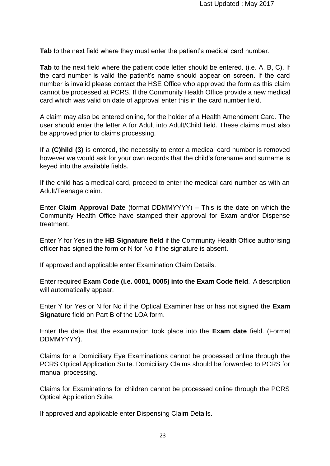**Tab** to the next field where they must enter the patient's medical card number.

**Tab** to the next field where the patient code letter should be entered. (i.e. A, B, C). If the card number is valid the patient's name should appear on screen. If the card number is invalid please contact the HSE Office who approved the form as this claim cannot be processed at PCRS. If the Community Health Office provide a new medical card which was valid on date of approval enter this in the card number field.

A claim may also be entered online, for the holder of a Health Amendment Card. The user should enter the letter A for Adult into Adult/Child field. These claims must also be approved prior to claims processing.

If a **(C)hild (3)** is entered, the necessity to enter a medical card number is removed however we would ask for your own records that the child's forename and surname is keyed into the available fields.

If the child has a medical card, proceed to enter the medical card number as with an Adult/Teenage claim.

Enter **Claim Approval Date** (format DDMMYYYY) – This is the date on which the Community Health Office have stamped their approval for Exam and/or Dispense treatment.

Enter Y for Yes in the **HB Signature field** if the Community Health Office authorising officer has signed the form or N for No if the signature is absent.

If approved and applicable enter Examination Claim Details.

Enter required **Exam Code (i.e. 0001, 0005) into the Exam Code field**. A description will automatically appear.

Enter Y for Yes or N for No if the Optical Examiner has or has not signed the **Exam Signature** field on Part B of the LOA form.

Enter the date that the examination took place into the **Exam date** field. (Format DDMMYYYY).

Claims for a Domiciliary Eye Examinations cannot be processed online through the PCRS Optical Application Suite. Domiciliary Claims should be forwarded to PCRS for manual processing.

Claims for Examinations for children cannot be processed online through the PCRS Optical Application Suite.

If approved and applicable enter Dispensing Claim Details.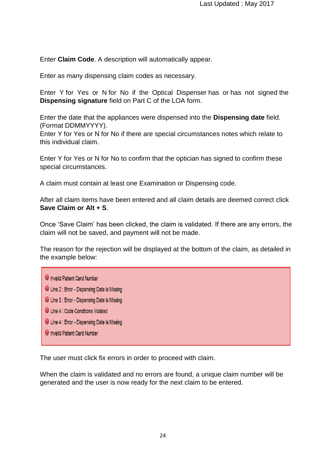Enter **Claim Code**. A description will automatically appear.

Enter as many dispensing claim codes as necessary.

Enter Y for Yes or N for No if the Optical Dispenser has or has not signed the **Dispensing signature** field on Part C of the LOA form.

Enter the date that the appliances were dispensed into the **Dispensing date** field. (Format DDMMYYYY).

Enter Y for Yes or N for No if there are special circumstances notes which relate to this individual claim.

Enter Y for Yes or N for No to confirm that the optician has signed to confirm these special circumstances.

A claim must contain at least one Examination or Dispensing code.

After all claim items have been entered and all claim details are deemed correct click **Save Claim or Alt + S**.

Once 'Save Claim' has been clicked, the claim is validated. If there are any errors, the claim will not be saved, and payment will not be made.

The reason for the rejection will be displayed at the bottom of the claim, as detailed in the example below:

**U** Invalid Patient Card Number **U** Line 2 : Error - Dispensing Date Is Missing **O** Line 3 : Error - Dispensing Date Is Missing Line 4 : Code Conditions Violated **U** Line 4 : Error - Dispensing Date Is Missing **U** Invalid Patient Card Number

The user must click fix errors in order to proceed with claim.

When the claim is validated and no errors are found, a unique claim number will be generated and the user is now ready for the next claim to be entered.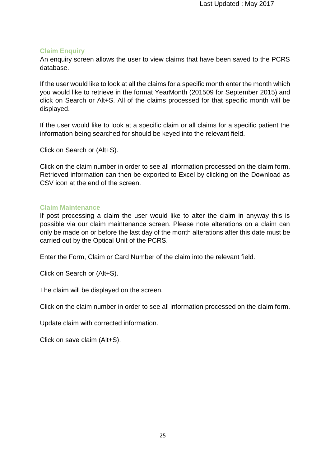### **Claim Enquiry**

An enquiry screen allows the user to view claims that have been saved to the PCRS database.

If the user would like to look at all the claims for a specific month enter the month which you would like to retrieve in the format YearMonth (201509 for September 2015) and click on Search or Alt+S. All of the claims processed for that specific month will be displayed.

If the user would like to look at a specific claim or all claims for a specific patient the information being searched for should be keyed into the relevant field.

Click on Search or (Alt+S).

Click on the claim number in order to see all information processed on the claim form. Retrieved information can then be exported to Excel by clicking on the Download as CSV icon at the end of the screen.

### **Claim Maintenance**

If post processing a claim the user would like to alter the claim in anyway this is possible via our claim maintenance screen. Please note alterations on a claim can only be made on or before the last day of the month alterations after this date must be carried out by the Optical Unit of the PCRS.

Enter the Form, Claim or Card Number of the claim into the relevant field.

Click on Search or (Alt+S).

The claim will be displayed on the screen.

Click on the claim number in order to see all information processed on the claim form.

Update claim with corrected information.

Click on save claim (Alt+S).